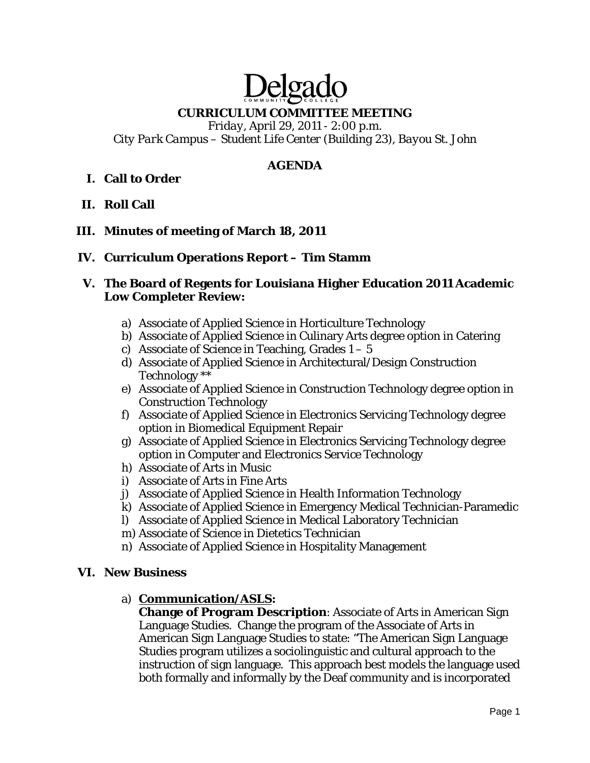# Delga

# **CURRICULUM COMMITTEE MEETING**

*Friday, April 29, 2011 - 2:00 p.m. City Park Campus – Student Life Center (Building 23), Bayou St. John* 

## **AGENDA**

# **I. Call to Order**

**II. Roll Call** 

## **III. Minutes of meeting of March 18, 2011**

#### **IV. Curriculum Operations Report – Tim Stamm**

#### **V. The Board of Regents for Louisiana Higher Education 2011 Academic Low Completer Review:**

- a) Associate of Applied Science in Horticulture Technology
- b) Associate of Applied Science in Culinary Arts degree option in Catering
- c) Associate of Science in Teaching, Grades  $1 5$
- d) Associate of Applied Science in Architectural/Design Construction Technology \*\*
- e) Associate of Applied Science in Construction Technology degree option in Construction Technology
- f) Associate of Applied Science in Electronics Servicing Technology degree option in Biomedical Equipment Repair
- g) Associate of Applied Science in Electronics Servicing Technology degree option in Computer and Electronics Service Technology
- h) Associate of Arts in Music
- i) Associate of Arts in Fine Arts
- j) Associate of Applied Science in Health Information Technology
- k) Associate of Applied Science in Emergency Medical Technician-Paramedic
- l) Associate of Applied Science in Medical Laboratory Technician
- m) Associate of Science in Dietetics Technician
- n) Associate of Applied Science in Hospitality Management

#### **VI. New Business**

#### a) **Communication/ASLS:**

**Change of Program Description**: Associate of Arts in American Sign Language Studies. Change the program of the Associate of Arts in American Sign Language Studies to state: "The American Sign Language Studies program utilizes a sociolinguistic and cultural approach to the instruction of sign language. This approach best models the language used both formally and informally by the Deaf community and is incorporated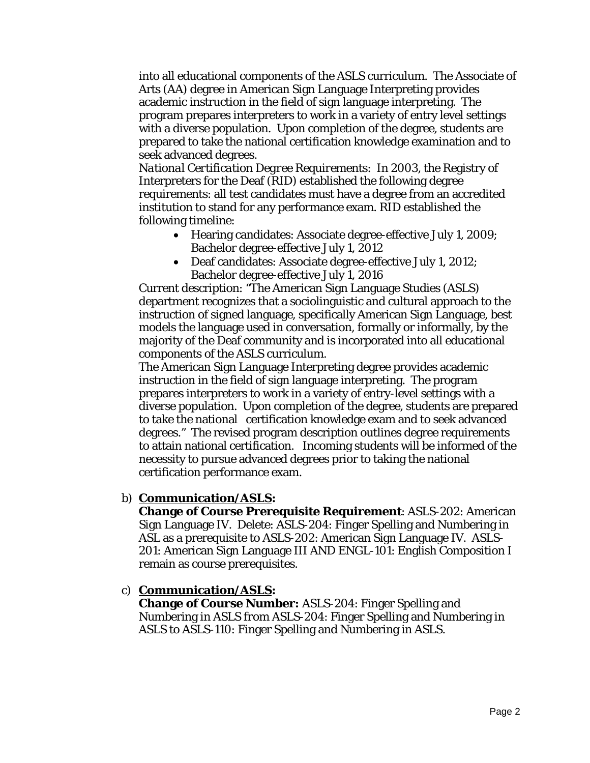into all educational components of the ASLS curriculum. The Associate of Arts (AA) degree in American Sign Language Interpreting provides academic instruction in the field of sign language interpreting. The program prepares interpreters to work in a variety of entry level settings with a diverse population. Upon completion of the degree, students are prepared to take the national certification knowledge examination and to seek advanced degrees.

*National Certification Degree Requirements*: In 2003, the Registry of Interpreters for the Deaf (RID) established the following degree requirements: all test candidates must have a degree from an accredited institution to stand for any performance exam. RID established the following timeline:

- Hearing candidates: Associate degree-effective July 1, 2009; Bachelor degree-effective July 1, 2012
- Deaf candidates: Associate degree-effective July 1, 2012; Bachelor degree-effective July 1, 2016

Current description: "The American Sign Language Studies (ASLS) department recognizes that a sociolinguistic and cultural approach to the instruction of signed language, specifically American Sign Language, best models the language used in conversation, formally or informally, by the majority of the Deaf community and is incorporated into all educational components of the ASLS curriculum.

The American Sign Language Interpreting degree provides academic instruction in the field of sign language interpreting. The program prepares interpreters to work in a variety of entry-level settings with a diverse population. Upon completion of the degree, students are prepared to take the national certification knowledge exam and to seek advanced degrees." The revised program description outlines degree requirements to attain national certification. Incoming students will be informed of the necessity to pursue advanced degrees prior to taking the national certification performance exam.

#### b) **Communication/ASLS:**

**Change of Course Prerequisite Requirement**: ASLS-202: American Sign Language IV. Delete: ASLS-204: Finger Spelling and Numbering in ASL as a prerequisite to ASLS-202: American Sign Language IV. ASLS-201: American Sign Language III AND ENGL-101: English Composition I remain as course prerequisites.

#### c) **Communication/ASLS:**

**Change of Course Number:** ASLS-204: Finger Spelling and Numbering in ASLS *from* ASLS-204: Finger Spelling and Numbering in ASLS *to* ASLS-110: Finger Spelling and Numbering in ASLS.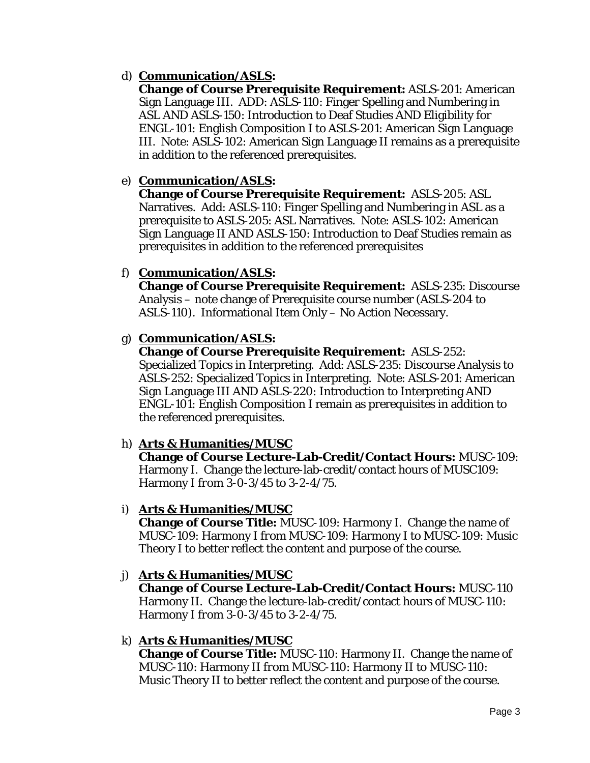# d) **Communication/ASLS:**

**Change of Course Prerequisite Requirement:** ASLS-201: American Sign Language III. ADD: ASLS-110: Finger Spelling and Numbering in ASL AND ASLS-150: Introduction to Deaf Studies AND Eligibility for ENGL-101: English Composition I to ASLS-201: American Sign Language III. Note: ASLS-102: American Sign Language II remains as a prerequisite in addition to the referenced prerequisites.

## e) **Communication/ASLS:**

**Change of Course Prerequisite Requirement:** ASLS-205: ASL Narratives. Add: ASLS-110: Finger Spelling and Numbering in ASL as a prerequisite to ASLS-205: ASL Narratives. Note: ASLS-102: American Sign Language II AND ASLS-150: Introduction to Deaf Studies remain as prerequisites in addition to the referenced prerequisites

## f) **Communication/ASLS:**

**Change of Course Prerequisite Requirement:** ASLS-235: Discourse Analysis – note change of Prerequisite course number (ASLS-204 to ASLS-110). Informational Item Only – No Action Necessary.

## g) **Communication/ASLS:**

**Change of Course Prerequisite Requirement:** ASLS-252:

Specialized Topics in Interpreting. Add: ASLS-235: Discourse Analysis to ASLS-252: Specialized Topics in Interpreting. Note: ASLS-201: American Sign Language III AND ASLS-220: Introduction to Interpreting AND ENGL-101: English Composition I remain as prerequisites in addition to the referenced prerequisites.

# h) **Arts & Humanities/MUSC**

**Change of Course Lecture-Lab-Credit/Contact Hours:** MUSC-109: Harmony I. Change the lecture-lab-credit/contact hours of MUSC109: Harmony I *from* 3-0-3/45 *to* 3-2-4/75.

#### i) **Arts & Humanities/MUSC**

**Change of Course Title:** MUSC-109: Harmony I. Change the name of MUSC-109: Harmony I *from* MUSC-109: Harmony I *to* MUSC-109: Music Theory I to better reflect the content and purpose of the course.

#### j) **Arts & Humanities/MUSC**

**Change of Course Lecture-Lab-Credit/Contact Hours:** MUSC-110 Harmony II. Change the lecture-lab-credit/contact hours of MUSC-110: Harmony I *from* 3-0-3/45 *to* 3-2-4/75.

#### k) **Arts & Humanities/MUSC**

**Change of Course Title:** MUSC-110: Harmony II. Change the name of MUSC-110: Harmony II *from* MUSC-110: Harmony II *to* MUSC-110: Music Theory II to better reflect the content and purpose of the course.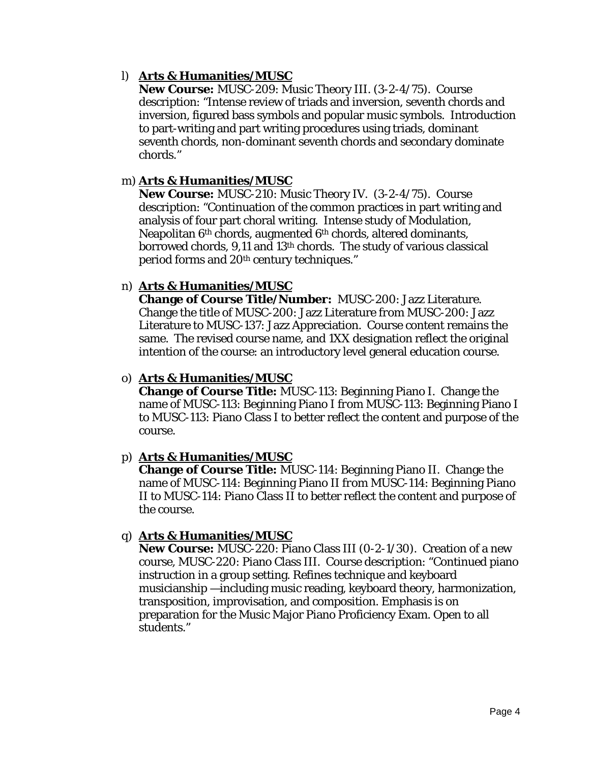## l) **Arts & Humanities/MUSC**

**New Course:** MUSC-209: Music Theory III. (3-2-4/75). Course description: "Intense review of triads and inversion, seventh chords and inversion, figured bass symbols and popular music symbols. Introduction to part-writing and part writing procedures using triads, dominant seventh chords, non-dominant seventh chords and secondary dominate chords."

## m) **Arts & Humanities/MUSC**

**New Course:** MUSC-210: Music Theory IV. (3-2-4/75). Course description: "Continuation of the common practices in part writing and analysis of four part choral writing. Intense study of Modulation, Neapolitan 6<sup>th</sup> chords, augmented 6<sup>th</sup> chords, altered dominants, borrowed chords, 9,11 and 13th chords. The study of various classical period forms and 20th century techniques."

#### n) **Arts & Humanities/MUSC**

**Change of Course Title/Number:** MUSC-200: Jazz Literature. Change the title of MUSC-200: Jazz Literature *from* MUSC-200: Jazz Literature *to* MUSC-137: Jazz Appreciation. Course content remains the same. The revised course name, and 1XX designation reflect the original intention of the course: an introductory level general education course.

#### o) **Arts & Humanities/MUSC**

**Change of Course Title:** MUSC-113: Beginning Piano I. Change the name of MUSC-113: Beginning Piano I *from* MUSC-113: Beginning Piano I *to* MUSC-113: Piano Class I to better reflect the content and purpose of the course.

#### p) **Arts & Humanities/MUSC**

**Change of Course Title:** MUSC-114: Beginning Piano II. Change the name of MUSC-114: Beginning Piano II *from* MUSC-114: Beginning Piano II *to* MUSC-114: Piano Class II to better reflect the content and purpose of the course.

#### q) **Arts & Humanities/MUSC**

**New Course:** MUSC-220: Piano Class III (0-2-1/30). Creation of a new course, MUSC-220: Piano Class III. Course description: "Continued piano instruction in a group setting. Refines technique and keyboard musicianship —including music reading, keyboard theory, harmonization, transposition, improvisation, and composition. Emphasis is on preparation for the Music Major Piano Proficiency Exam. Open to all students."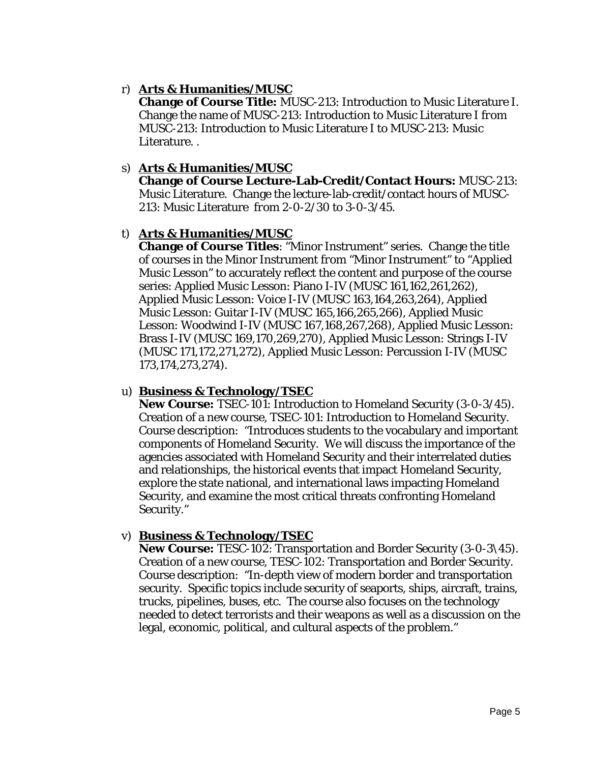## r) **Arts & Humanities/MUSC**

**Change of Course Title:** MUSC-213: Introduction to Music Literature I. Change the name of MUSC-213: Introduction to Music Literature I *from* MUSC-213: Introduction to Music Literature I *to* MUSC-213: Music Literature. .

#### s) **Arts & Humanities/MUSC**

**Change of Course Lecture-Lab-Credit/Contact Hours:** MUSC-213: Music Literature. Change the lecture-lab-credit/contact hours of MUSC-213: Music Literature *from* 2-0-2/30 *to* 3-0-3/45.

#### t) **Arts & Humanities/MUSC**

**Change of Course Titles**: "Minor Instrument" series. Change the title of courses in the Minor Instrument *from* "Minor Instrument" *to* "Applied Music Lesson" to accurately reflect the content and purpose of the course series: Applied Music Lesson: Piano I-IV (MUSC 161,162,261,262), Applied Music Lesson: Voice I-IV (MUSC 163,164,263,264), Applied Music Lesson: Guitar I-IV (MUSC 165,166,265,266), Applied Music Lesson: Woodwind I-IV (MUSC 167,168,267,268), Applied Music Lesson: Brass I-IV (MUSC 169,170,269,270), Applied Music Lesson: Strings I-IV (MUSC 171,172,271,272), Applied Music Lesson: Percussion I-IV (MUSC 173,174,273,274).

#### u) **Business & Technology/TSEC**

**New Course:** TSEC-101: Introduction to Homeland Security (3-0-3/45). Creation of a new course, TSEC-101: Introduction to Homeland Security. Course description: "Introduces students to the vocabulary and important components of Homeland Security. We will discuss the importance of the agencies associated with Homeland Security and their interrelated duties and relationships, the historical events that impact Homeland Security, explore the state national, and international laws impacting Homeland Security, and examine the most critical threats confronting Homeland Security."

#### v) **Business & Technology/TSEC**

**New Course:** TESC-102: Transportation and Border Security (3-0-3\45). Creation of a new course, TESC-102: Transportation and Border Security. Course description: "In-depth view of modern border and transportation security. Specific topics include security of seaports, ships, aircraft, trains, trucks, pipelines, buses, etc. The course also focuses on the technology needed to detect terrorists and their weapons as well as a discussion on the legal, economic, political, and cultural aspects of the problem."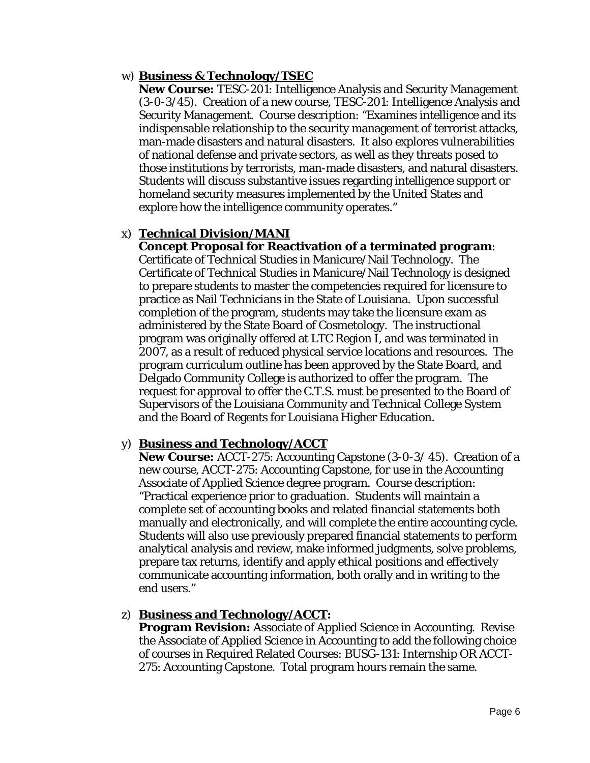#### w) **Business & Technology/TSEC**

**New Course:** TESC-201: Intelligence Analysis and Security Management (3-0-3/45). Creation of a new course, TESC-201: Intelligence Analysis and Security Management. Course description: "Examines intelligence and its indispensable relationship to the security management of terrorist attacks, man-made disasters and natural disasters. It also explores vulnerabilities of national defense and private sectors, as well as they threats posed to those institutions by terrorists, man-made disasters, and natural disasters. Students will discuss substantive issues regarding intelligence support or homeland security measures implemented by the United States and explore how the intelligence community operates."

## x) **Technical Division/MANI**

**Concept Proposal for Reactivation of a terminated program**: Certificate of Technical Studies in Manicure/Nail Technology. The Certificate of Technical Studies in Manicure/Nail Technology is designed to prepare students to master the competencies required for licensure to practice as Nail Technicians in the State of Louisiana. Upon successful completion of the program, students may take the licensure exam as administered by the State Board of Cosmetology. The instructional program was originally offered at LTC Region I, and was terminated in 2007, as a result of reduced physical service locations and resources. The program curriculum outline has been approved by the State Board, and Delgado Community College is authorized to offer the program. The request for approval to offer the C.T.S. must be presented to the Board of Supervisors of the Louisiana Community and Technical College System and the Board of Regents for Louisiana Higher Education.

#### y) **Business and Technology/ACCT**

**New Course:** ACCT-275: Accounting Capstone (3-0-3/ 45). Creation of a new course, ACCT-275: Accounting Capstone, for use in the Accounting Associate of Applied Science degree program. Course description: "Practical experience prior to graduation. Students will maintain a complete set of accounting books and related financial statements both manually and electronically, and will complete the entire accounting cycle. Students will also use previously prepared financial statements to perform analytical analysis and review, make informed judgments, solve problems, prepare tax returns, identify and apply ethical positions and effectively communicate accounting information, both orally and in writing to the end users."

#### z) **Business and Technology/ACCT:**

**Program Revision:** Associate of Applied Science in Accounting. Revise the Associate of Applied Science in Accounting to add the following choice of courses in Required Related Courses: BUSG-131: Internship OR ACCT-275: Accounting Capstone. Total program hours remain the same.